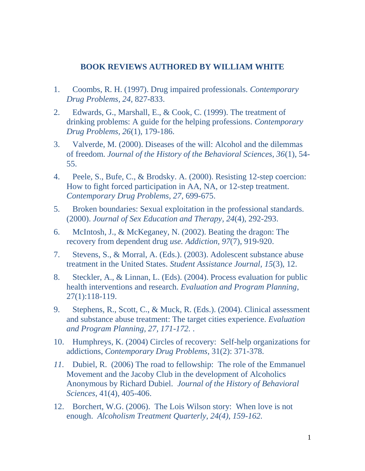## **BOOK REVIEWS AUTHORED BY WILLIAM WHITE**

- 1. Coombs, R. H. (1997). Drug impaired professionals. *Contemporary Drug Problems, 24,* 827-833.
- 2. Edwards, G., Marshall, E., & Cook, C. (1999). The treatment of drinking problems: A guide for the helping professions. *Contemporary Drug Problems, 26*(1), 179-186.
- 3. Valverde, M. (2000). Diseases of the will: Alcohol and the dilemmas of freedom. *Journal of the History of the Behavioral Sciences, 36*(1), 54- 55.
- 4. Peele, S., Bufe, C., & Brodsky. A. (2000). Resisting 12-step coercion: How to fight forced participation in AA, NA, or 12-step treatment. *Contemporary Drug Problems, 27*, 699-675.
- 5. Broken boundaries: Sexual exploitation in the professional standards. (2000). *Journal of Sex Education and Therapy, 24*(4), 292-293.
- 6. McIntosh, J., & McKeganey, N. (2002). Beating the dragon: The recovery from dependent drug *use. Addiction, 97*(7), 919-920.
- 7. Stevens, S., & Morral, A. (Eds.). (2003). Adolescent substance abuse treatment in the United States. *Student Assistance Journal, 15*(3), 12.
- 8. Steckler, A., & Linnan, L. (Eds). (2004). Process evaluation for public health interventions and research. *Evaluation and Program Planning*, 27(1):118-119.
- 9. Stephens, R., Scott, C., & Muck, R. (Eds.). (2004). Clinical assessment and substance abuse treatment: The target cities experience. *Evaluation and Program Planning, 27, 171-172.* .
- 10. Humphreys, K. (2004) Circles of recovery: Self-help organizations for addictions, *Contemporary Drug Problems*, 31(2): 371-378.
- *11.* Dubiel, R. (2006) The road to fellowship: The role of the Emmanuel Movement and the Jacoby Club in the development of Alcoholics Anonymous by Richard Dubiel. *Journal of the History of Behavioral Sciences*, 41(4), 405-406.
- 12. Borchert, W.G. (2006). The Lois Wilson story: When love is not enough. *Alcoholism Treatment Quarterly, 24(4), 159-162.*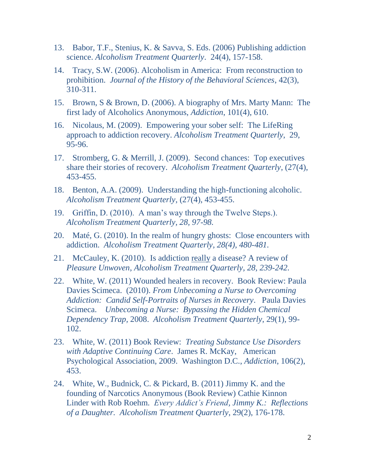- 13. Babor, T.F., Stenius, K. & Savva, S. Eds. (2006) Publishing addiction science. *Alcoholism Treatment Quarterly*. 24(4), 157-158.
- 14. Tracy, S.W. (2006). Alcoholism in America: From reconstruction to prohibition. *Journal of the History of the Behavioral Sciences*, 42(3), 310-311.
- 15. Brown, S & Brown, D. (2006). A biography of Mrs. Marty Mann: The first lady of Alcoholics Anonymous, *Addiction*, 101(4), 610.
- 16. Nicolaus, M. (2009). Empowering your sober self: The LifeRing approach to addiction recovery. *Alcoholism Treatment Quarterly*, 29, 95-96.
- 17. Stromberg, G. & Merrill, J. (2009). Second chances: Top executives share their stories of recovery. *Alcoholism Treatment Quarterly*, (27(4), 453-455.
- 18. Benton, A.A. (2009). Understanding the high-functioning alcoholic. *Alcoholism Treatment Quarterly*, (27(4), 453-455.
- 19. Griffin, D. (2010). A man's way through the Twelve Steps.). *Alcoholism Treatment Quarterly, 28, 97-98.*
- 20. Maté, G. (2010). In the realm of hungry ghosts: Close encounters with addiction. *Alcoholism Treatment Quarterly, 28(4), 480-481.*
- 21. McCauley, K. (2010). Is addiction really a disease? A review of *Pleasure Unwoven*, *Alcoholism Treatment Quarterly, 28, 239-242.*
- 22. White, W. (2011) Wounded healers in recovery. Book Review: Paula Davies Scimeca. (2010). *From Unbecoming a Nurse to Overcoming Addiction: Candid Self-Portraits of Nurses in Recovery*. Paula Davies Scimeca. *Unbecoming a Nurse: Bypassing the Hidden Chemical Dependency Trap,* 2008. *Alcoholism Treatment Quarterly*, 29(1), 99- 102.
- 23. White, W. (2011) Book Review: *Treating Substance Use Disorders with Adaptive Continuing Care*. James R. McKay, American Psychological Association, 2009. Washington D.C., *Addiction*, 106(2), 453.
- 24. White, W., Budnick, C. & Pickard, B. (2011) Jimmy K. and the founding of Narcotics Anonymous (Book Review) Cathie Kinnon Linder with Rob Roehm. *Every Addict's Friend, Jimmy K.: Reflections of a Daughter. Alcoholism Treatment Quarterly*, 29(2), 176-178.